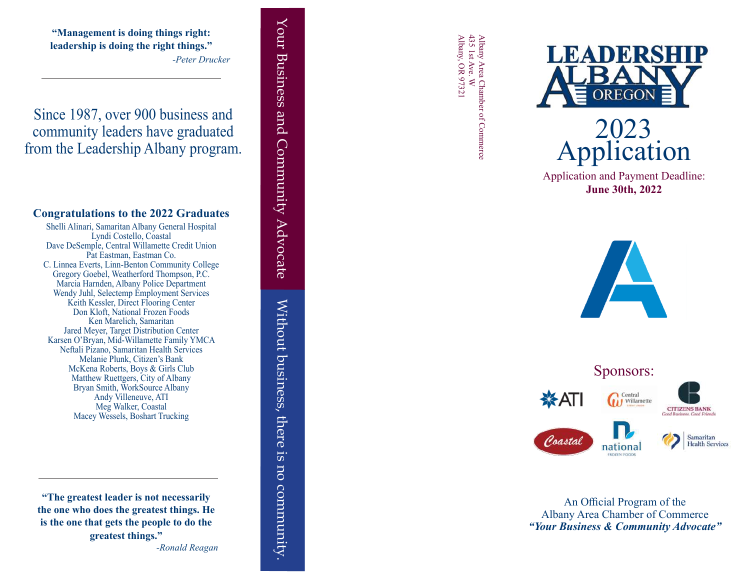**"Management is doing things right: leadership is doing the right things."** *-Peter Drucker*

Since 1987, over 900 business and community leaders have graduated from the Leadership Albany program.

## **Congratulations to the 2022 Graduates**

Shelli Alinari, Samaritan Albany General Hospital Lyndi Costello, Coastal Dave DeSemple, Central Willamette Credit Union Pat Eastman, Eastman Co. C. Linnea Everts, Linn-Benton Community College Gregory Goebel, Weatherford Thompson, P.C. Marcia Harnden, Albany Police Department Wendy Juhl, Selectemp Employment Services Keith Kessler, Direct Flooring Center Don Kloft, National Frozen Foods Ken Marelich, Samaritan Jared Meyer, Target Distribution Center Karsen O'Bryan, Mid-Willamette Family YMCA Neftali Pizano, Samaritan Health Services Melanie Plunk, Citizen's Bank McKena Roberts, Boys & Girls Club Matthew Ruettgers, City of Albany Bryan Smith, WorkSource Albany Andy Villeneuve, ATI Meg Walker, Coastal Macey Wessels, Boshart Trucking

**"The greatest leader is not necessarily the one who does the greatest things. He is the one that gets the people to do the greatest things."** *-Ronald Reagan* Your Business and Community Advocate Without business, there is no community. Your Business and Community Advocate Without business, there **ST**. no community

Albany Area Chamber of Commerce<br>435 1st Ave. W<br>Albany, OR 97321 Albany, OR 97321 435 1st Ave. W Albany Area Chamber of Commerce



**June 30th, 2022**





An Official Program of the Albany Area Chamber of Commerce *"Your Business & Community Advocate"*